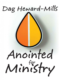### Dag Heward-Mills

# Anointed Ministry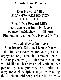#### **Anointed For Ministry By**

#### **Dag Heward-Mills** SMASHWORDS EDITION

\*\*\*\*\*\*\*\*\*\*\*\*\*

#### E mail Dag Heward-Mills : info@daghewardmillsbooks.org evangelist@daghewardmills.org Find out more about Dag Heward-Mills at:

#### www.daghewardmills.org **Smashwords Edition, License Notes**

This ebook is licensed for your personal enjoyment only. This ebook may not be resold or given away to other people. If you would like to share this book with another person, please purchase an additional copy for each recipient. If you're reading this book and did not purchase it, or it was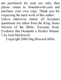not purchased for your use only, then please return to Smashwords.com and purchase your own copy. Thank you for respecting the hard work of this author.

Unless otherwise stated, all Scripture quotations are taken from the King James Version of the Bible. Excerpts from: Evidence that Demands a Verdict Volume 1 by Josh McDowell

Copyright 2008 Dag Heward-Mills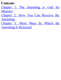#### **Contents**

- Chapter 1: The Anointing is vital for **Ministry**
- Chapter 2: How You Can Receive the Anointing
- Chapter 3: More Ways by Which the Anointing Is Released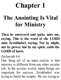# **Chapter 1**

### **The Anointing Is Vital for Ministry**

**Then he answered and spake unto me, saying, This is the word of the LORD unto Zerubbabel, saying, Not by might, nor by power, but by my spirit, saith the LORD of hosts.**

Zechariah 4:6

One thing all of us must realize is that ministry is different fromany other secular job. In the secular world, many things are important for success. Zerubbabel was trying to build the temple. We are trying to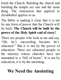build the Church. Building the church and building the temple are one and the same thing. The instruction that applied to Zerubbabel applies to us.

The Bible is making it clear that it is not by any form of power that the Church will be built. **The Church will be built by the power of the Holy Spirit end of story!**

There are people who look at me and say, "Oh, he's succeeding because he's educated." But it is not by the power of education. There are educated people in the ministry whose churches have not amounted to a "hill of beans". It is not by education, it is by the anointing.

#### **We Need the Anointing**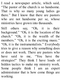I read a newspaper article, which said, "The pastor of the church is so handsome. That is why so many young ladies go there." But I know that there are pastors who are not handsome per se, whose ministries have grown into thousands.

Still others say, "Oh, it is their background." "Oh, it is the location of the church." "Oh, it is the wealth of the members." "Oh, it is the exciting music." "Oh, it is the instrumentalists." Everybody tries to give a reason why something does or does not work. There are pastors who have said to me, "You have the strategies!" They think I have loads of hidden tactics to make my ministry work. Some people think I am an expert administrator that is how come things are working.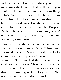In this chapter, I will introduce you to the most important factor that will make you start out and accomplish something substantial for God. I believe in education. I believe in administration. I believe in strategies. But above all, I have come to the conclusion that the Prophet Zechariah came to *it is not by any form of might, it is not by any power, it is by my Spirit says the Lord.*

This Spirit is the same as the anointing. The Bible says in Acts 10:38, "How God anointed Jesus of Nazareth with the Holy Ghost and with power." You will see from this Scripture that the substance that God anointed Jesus Christ with was the Holy Spirit. Therefore, we can conclude that the anointing is the Holy Spirit. We need the anointing to do the work.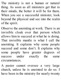The ministry is not a human or natural thing. As soon as all ministers get that in their minds, the better it will be for them. When you see a successful minister, look beyond the physical and see into the realm of the spirit.

Observe the anointing at work. There is an invisible cloak over that person which allows him to succeed at what he is doing. That invisible mantle is what I call the anointing. It explains why some people succeed and some don't. It explains why some people have greater degrees of success under exactly the same circumstances.

A pastor cannot oversee a very large church, unless he is anointed to do so. I have been in the ministry for nearly twenty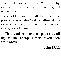years and I know from the Word and by experience that it is by the anointing and nothing else!

Jesus told Pilate that all the power he possessed was what God had allowed him to have. Nobody can have power unless God gives it to him.

…**Thou couldest have no power at all against me, except it were given thee fromabove…**

**John 19:11**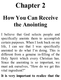# **Chapter 2**

### **How You Can Receive the Anointing**

I believe that God selects people and specifically anoints them to accomplish certain purposes. When I look back on my life, I can see that I was specifically anointed to do what I'm doing. This is different from a genuine in-filling of the Holy Spirit which every Christian has. Since the anointing is so important, we must ask ourselves, "How do we get this vital ingredient?"

**It is very important to realize that the**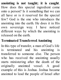**anointing is not taught; it is caught**. How does this special ingredient come onto a person? Is it something that we can all have or is it reserved for the special few? God is the one who introduces the anointing into the earth. He does it in His own sovereign way. I have noticed different ways by which the anointing is released on the earth.

#### **Terminated TransferredAnointing**

In this type of transfer, a man of God's life is terminated and his anointing is transferred to someone else. The person who has received the anointing usually starts ministering after the death of the originally anointed vessel. A good example of this is Joshua. Joshua became anointed to lead the people of Israel after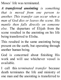Moses' life was terminated.

*A transferred anointing is something that is moved from one person to another. This transfer can occur when a man of God dies or leaves the scene. His mantle then falls directly on someone else.* The departure of Elijah from the scene resulted in the anointing on his life being transferred to Elisha.

This resulted in the same anointing being present on the earth, but operating through another human being.

God is concerned about finishing His work and will use whichever vessel is available.

I call this *terminated transfer* because death terminates the life and ministry of one man and the anointing is transferred to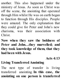another. This also happened under the ministry of Jesus. As soon as Christ was off the scene, the anointing that operated through Himwhilst He was on earth began to function through His disciples. People were amazed. The only explanation that they could give for Peter and John's new charisma, was their association with Christ.

**Now when they saw the boldness of Peter and John…they marvelled; and they took knowledge of them, that they had beenwith Jesus.**

**Acts 4:13**

#### **Living TransferredAnointing**

The next type of transfer is living transferred anointing. **In this case, the anointing on one person is transferred**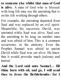**to someone else whilst that man of God is alive**. A man of God who is blessed with long life may see the anointing that is on his life working through others.

For example, the anointing departed from Saul and was replaced by an evil spirit. Meanwhile, his successor, David, was anointed while Saul was alive. Saul saw the anointing to be king on another man and was afraid of him. This is a common occurrence in the ministry. Even the Prophet Samuel was afraid to anoint David while Saul was yet alive. He knew that it would provoke much jealousy and hatred.

**And the Lord said unto Samuel… fill thine horn with oil, and go, I will send thee to Jesse the Bethlehemite: for I**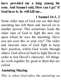#### **have provided me a king among his sons. And Samuel said, How can I go? if Saul hearit, he will kill me...**

#### **1 Samuel 16:1, 2**

Some older men of God can see that their anointing has left them and moved on to another person. This sometimes leads the older man of God to fight the new one upon whom he sees the anointing. Have you not seen this in your city? The older and insecure men of God fight to keep their position, whilst God works through others. God allowed Saul to fight David in order to test David's character. All things do work together for good to them that are called.

#### **Anointing Sharing**

*This is when God takes the anointing on*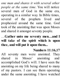*one man and shares it with several other people at the same time*. You will notice several men of God in the same era, operating in a similar way. In Bible times, several of the prophets lived and prophesied around the same time. God took of the anointing that was upon Moses and shared it amongst seventy people.

…**Gather unto me seventy men…and I will take of the spirit which is upon thee, andwill put it upon them...**

#### **Numbers 11:16,17**

All seventy men were anointed. They shared in Moses' anointing and accomplished God's will. I have seen the anointing on my life being shared to many of my pastors. I can see them operating under the same anointing. I have watched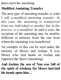themcatch the anointing.

#### **ModifiedAnointing Transfer**

The next type of anointing transfer is what I call a *modified anointing transfer*. *In this case, the anointing is transferred from one individual to another but in the process, it is modified.* In such a case, the recipient of the anointing may be notably different in ministry from the one from whom the anointing was transferred.

An example of this can be seen under the ministry of Moses and Joshua. It was Moses who laid hands on Joshua and imparted the Spirit (anointing).

**And Joshua the son of Nun was full of the spirit of wisdom; for Moses had laid his hands upon him…**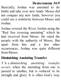#### **Deuteronomy 34:9**

Basically, Joshua was anointed to do battle and take over new lands. Moses did not conquer any new lands, however you could see a similarity between Moses and Joshua.

Joshua crossed the River Jordan using the "Red Sea crossing anointing" which he had received from Moses. He ruled the people with the authority of Moses. But apart from this and a few other occurrences, Joshua was quite different from Moses.

#### **Diminishing Anointing Transfer**

T h e *diminishing anointing transfer occurs* when the anointing from one is passed to another, but is reduced in its strength and glory. It is often God's way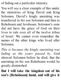of fading out a particular ministry.

You will see a clear example of this under the ministries of King David and King Solomon. David's kingly anointing was transferred to his son Solomon and then to Rehoboam and Jeroboam. Solomon's sons did not have the grace of God on their lives to rule over all of the twelve tribes of Israel. We cannot even remember the names of the other kings who lived after Solomon.

*This is because the kingly anointing was fading as the years passed by*. God showed Solomon before he died, that the anointing on his son Rehoboam would be greatly diminished.

**But I will take the kingdom out of his son's [Rehoboam] hand, and will give it**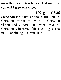#### **unto thee, even ten tribes. And unto his sonwill I give one tribe...**

#### **1 Kings 11:35,36**

Some American universities started out as Christian institutions with a Christian vision. Today, there is not even a trace of Christianity in some of those colleges. The initial anointing is diminished!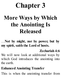# **Chapter 3**

### **More Ways by Which the Anointing Is Released**

…**Not by might, nor by power, but by my spirit, saith the Lord of hosts.**

#### **Zechariah 4:6**

We will now look at additional ways by which God introduces the anointing into the earth.

#### **EnhancedAnointing Transfer**

This is when the anointing transfer from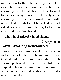one person to the other is upgraded. For example, Elisha had twice as much of the anointing that Elijah had and performed twice as many miracles. This type of anointing transfer is unusual. You will notice that Elijah told Elisha that he had asked for a hard thing; that is, to have an enhanced anointing transfer.

#### …**Thou hast asked a hard thing:…**

#### **2 Kings 2:10 Former Anointing Reintroduced**

This type of anointing transfer can be seen in the case of John the Baptist and Elijah. God decided to reintroduce the Elijah anointing through a man called John the Baptist. This is because God was doing a work, which needed a dramatic Elijahtype of ministry.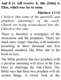#### **And if ye will receive it, this [John] is Elias, whichwas forto come.**

#### **Matthew 11:14**

*I believe that some of the apostolic and prophetic anointing's of the early Church are being reintroduced into the Church at this time.*

There is therefore a resurgence of the miraculous and the prophetic. There are much more larger churches with ministers preaching to three thousand and five thousand members like Peter did in the book of Acts.

The Bible predicts that two prophets with a peculiar anointing will arise in the Last Days to challenge the Anti-Christ. The Bible says that these two prophets will do certain things. A closer look at the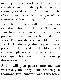ministry of these two Latter Day prophets reveals a great similarity between their anointing's and those of Moses and Elijah. *Once again, this is the principle of the reintroduced anointing at work.*

These two prophets will have power to call down fire from heaven. They will also have power over the weather to prevent it from raining for three and a half years. This sounds very much like Elijah. The Bible also says that they will have power to turn water into blood and command plagues to appear at random. Once again this sounds like the anointing that was on Moses.

**And I will give power unto my two witnesses, and they shall prophesy a thousand two hundred and threescore**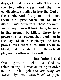**days, clothed in sack cloth. These are the two olive trees, and the two candlesticks standing before the God of the earth. And if any man will hurt them, fire proceedeth out of their mouth, and devoureth their enemies: and if any man will hurt them, he must in this manner be killed. These have power to shut heaven, that it rain not in the days of their prophecy: and have power over waters to turn them to blood, and to smite the earth with all plagues, as often as they will.**

#### **Revelation 11:3-6**

Once again, it looks like God is reintroducing a former anointing in order to do a vital job. *The anointing on Moses' life was introduced to fight*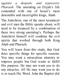*against a despotic and repressive Pharaoh*. The anointing on Elijah's life contended with one of Israel's most detestable and incorrigible kings, Ahab.

The Antichrist, one of the most tyrannical and evil men the Bible speaks about, will need to be trounced by a combination of these two strong anointing's. Perhaps the Antichrist himself will combine the evil spirits that worked through both King Ahab and Pharaoh.

You will learn from this study, that God does specific things for specific reasons. You may want a miraculous ministry to impress people but God wants to fulfill His purpose. He may not want you to do any miracles. All He may want you to do is to teach His Word. John the Baptist did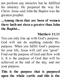not perform any miracles but he fulfilled his ministry. He prepared the way for Christ. Jesus said John the Baptist was the greatest prophet.

**...Among them that are born of women there hath not risen a greaterthan John the Baptist...**

#### **Matthew 11:11**

You can only line up with God's purpose. God will not do anything outside His purpose. When you fulfill God's purpose for your life, Jesus will call you "great". Find out the purpose of God and flow with it. It is the purpose of God that will be achieved at the end of the day, and not your purpose.

#### **This is the purpose that is purposed upon the whole earth: and this is the**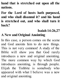**hand that is stretched out upon all the nations.**

**For the Lord of hosts hath purposed, and who shall disannul it? and his hand is stretched out, and who shall turn it back?**

#### **Isaiah 14:26,27 A New andOriginal Anointing**

In this case, a person comes on the scene and God anoints him to do new things. This is not very common! A study of the Bible will show you that God rarely introduces a new and original anointing. The more common way by which God introduces anointing, is through people. Elijah the Tishbite is somebody who appeared with what I believe was a new and original anointing.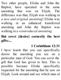Two other people, Elisha and John the Baptist, have operated in the same anointing that was on Elijah. The difference was that, Elijah was walking in *a new and original anointing*! Elisha was walking in an enhanced transferred anointing and John the Baptist was walking in a *reintroduced anointing.*

**But covet [desire] earnestly the best gifts:...**

#### **1 Corinthians 12:31**

I have learnt that you can specifically desire the anointing you see on a particular man of God. You can covet the gift that God has given to him. This is possible because Elisha specifically requested for the anointing that he saw on Elijah. Look around and see which man of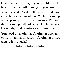God's ministry or gift you would like to have. I see that gift coming on you now!

Why would God tell you to desire something you cannot have? The anointing is the principal tool for ministry. Without the anointing, all of your Bible school knowledge and certificates are useless.

You need an anointing. Anointing does not come by going to school. Anointing is not taught, it is caught!

\*\*\*\*\*\*\*\*\*\*\*\*\*\*\*\*\*\*\*